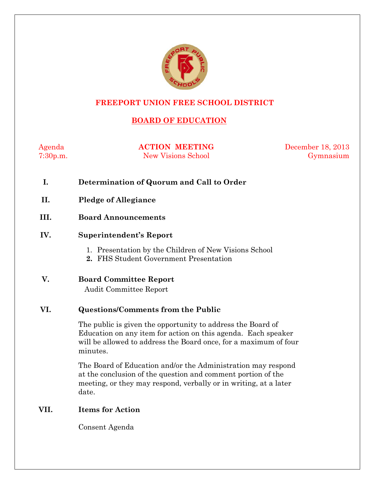

# **FREEPORT UNION FREE SCHOOL DISTRICT**

# **BOARD OF EDUCATION**

Agenda **ACTION MEETING** December 18, 2013 7:30p.m. New Visions School Gymnasium

- **I. Determination of Quorum and Call to Order**
- **II. Pledge of Allegiance**
- **III. Board Announcements**

#### **IV. Superintendent's Report**

- 1. Presentation by the Children of New Visions School
- **2.** FHS Student Government Presentation
- **V. Board Committee Report** Audit Committee Report

#### **VI. Questions/Comments from the Public**

The public is given the opportunity to address the Board of Education on any item for action on this agenda. Each speaker will be allowed to address the Board once, for a maximum of four minutes.

The Board of Education and/or the Administration may respond at the conclusion of the question and comment portion of the meeting, or they may respond, verbally or in writing, at a later date.

### **VII. Items for Action**

Consent Agenda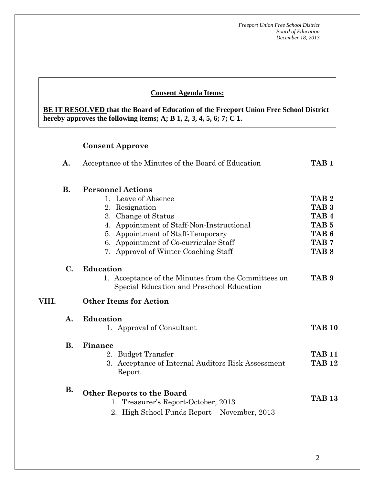#### **Consent Agenda Items:**

**BE IT RESOLVED that the Board of Education of the Freeport Union Free School District hereby approves the following items; A; B 1, 2, 3, 4, 5, 6; 7; C 1.**

# **Consent Approve**

|       | A.             | Acceptance of the Minutes of the Board of Education                                              | TAB <sub>1</sub> |  |  |  |
|-------|----------------|--------------------------------------------------------------------------------------------------|------------------|--|--|--|
|       | <b>B.</b>      | <b>Personnel Actions</b>                                                                         |                  |  |  |  |
|       |                | 1. Leave of Absence                                                                              | TAB <sub>2</sub> |  |  |  |
|       |                | Resignation<br>2.                                                                                | TAB <sub>3</sub> |  |  |  |
|       |                | 3. Change of Status                                                                              | TAB <sub>4</sub> |  |  |  |
|       |                | 4. Appointment of Staff-Non-Instructional                                                        | TAB <sub>5</sub> |  |  |  |
|       |                | 5. Appointment of Staff-Temporary                                                                | TAB <sub>6</sub> |  |  |  |
|       |                | 6. Appointment of Co-curricular Staff                                                            | TAB <sub>7</sub> |  |  |  |
|       |                | 7. Approval of Winter Coaching Staff                                                             | TAB <sub>8</sub> |  |  |  |
|       | $\mathbf{C}$ . | <b>Education</b>                                                                                 |                  |  |  |  |
|       |                | 1. Acceptance of the Minutes from the Committees on<br>Special Education and Preschool Education | TAB <sub>9</sub> |  |  |  |
| VIII. |                | <b>Other Items for Action</b>                                                                    |                  |  |  |  |
|       | A.             | <b>Education</b>                                                                                 |                  |  |  |  |
|       |                | 1. Approval of Consultant                                                                        | <b>TAB 10</b>    |  |  |  |
|       | <b>B.</b>      | Finance                                                                                          |                  |  |  |  |
|       |                | 2. Budget Transfer                                                                               | <b>TAB 11</b>    |  |  |  |
|       |                | 3. Acceptance of Internal Auditors Risk Assessment<br>Report                                     | <b>TAB 12</b>    |  |  |  |
|       | <b>B.</b>      | <b>Other Reports to the Board</b><br>1. Treasurer's Report-October, 2013                         | <b>TAB 13</b>    |  |  |  |
|       |                | 2. High School Funds Report – November, 2013                                                     |                  |  |  |  |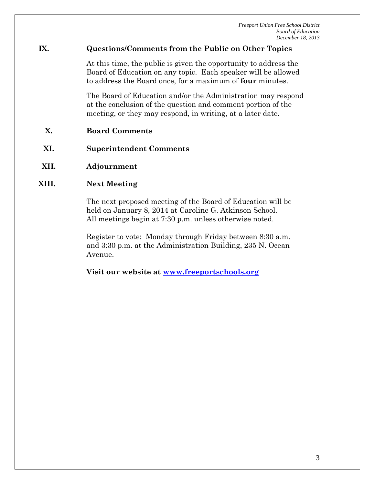# **IX. Questions/Comments from the Public on Other Topics**

At this time, the public is given the opportunity to address the Board of Education on any topic. Each speaker will be allowed to address the Board once, for a maximum of **four** minutes.

The Board of Education and/or the Administration may respond at the conclusion of the question and comment portion of the meeting, or they may respond, in writing, at a later date.

- **X. Board Comments**
- **XI. Superintendent Comments**
- **XII. Adjournment**

# **XIII. Next Meeting**

The next proposed meeting of the Board of Education will be held on January 8, 2014 at Caroline G. Atkinson School. All meetings begin at 7:30 p.m. unless otherwise noted.

Register to vote: Monday through Friday between 8:30 a.m. and 3:30 p.m. at the Administration Building, 235 N. Ocean Avenue.

**Visit our website at [www.freeportschools.org](http://www.freeportschools.org/)**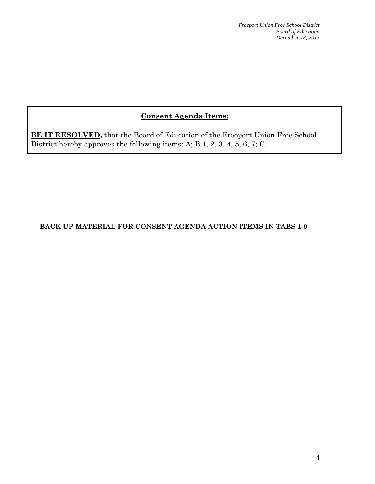# **Consent Agenda Items:**

**BE IT RESOLVED,** that the Board of Education of the Freeport Union Free School District hereby approves the following items; A; B 1, 2, 3, 4, 5, 6, 7; C.

**BACK UP MATERIAL FOR CONSENT AGENDA ACTION ITEMS IN TABS 1-9**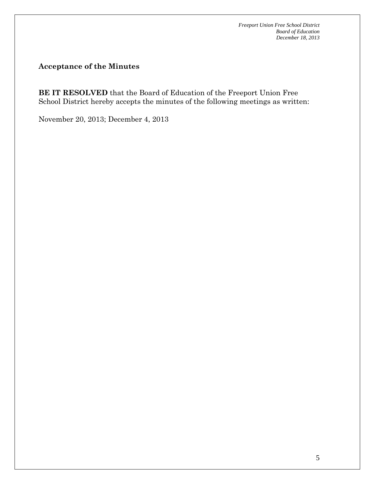**Acceptance of the Minutes**

**BE IT RESOLVED** that the Board of Education of the Freeport Union Free School District hereby accepts the minutes of the following meetings as written:

November 20, 2013; December 4, 2013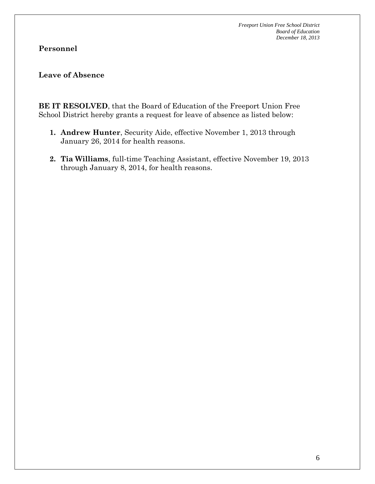# **Personnel**

### **Leave of Absence**

**BE IT RESOLVED**, that the Board of Education of the Freeport Union Free School District hereby grants a request for leave of absence as listed below:

- **1. Andrew Hunter**, Security Aide, effective November 1, 2013 through January 26, 2014 for health reasons.
- **2. Tia Williams**, full-time Teaching Assistant, effective November 19, 2013 through January 8, 2014, for health reasons.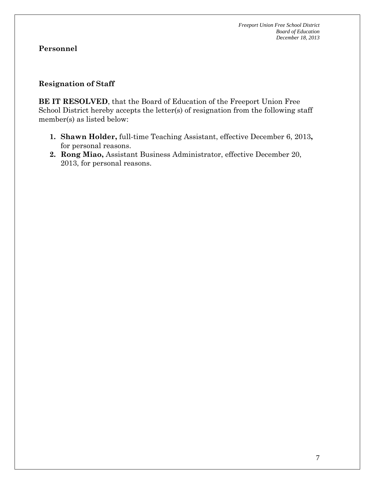### **Resignation of Staff**

**BE IT RESOLVED**, that the Board of Education of the Freeport Union Free School District hereby accepts the letter(s) of resignation from the following staff member(s) as listed below:

- **1. Shawn Holder,** full-time Teaching Assistant, effective December 6, 2013**,**  for personal reasons.
- **2. Rong Miao,** Assistant Business Administrator, effective December 20, 2013, for personal reasons.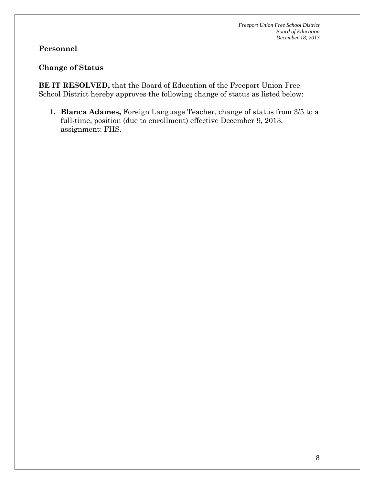# **Personnel**

#### **Change of Status**

**BE IT RESOLVED,** that the Board of Education of the Freeport Union Free School District hereby approves the following change of status as listed below:

**1. Blanca Adames,** Foreign Language Teacher, change of status from 3/5 to a full-time, position (due to enrollment) effective December 9, 2013, assignment: FHS.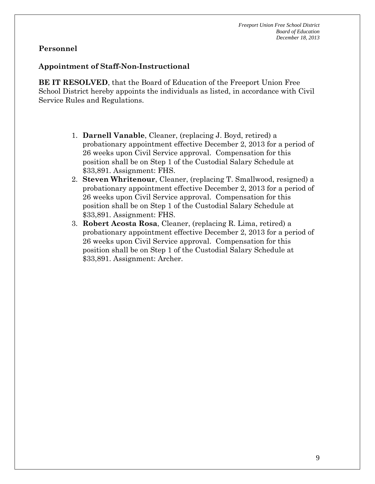#### **Appointment of Staff-Non-Instructional**

**BE IT RESOLVED**, that the Board of Education of the Freeport Union Free School District hereby appoints the individuals as listed, in accordance with Civil Service Rules and Regulations.

- 1. **Darnell Vanable**, Cleaner, (replacing J. Boyd, retired) a probationary appointment effective December 2, 2013 for a period of 26 weeks upon Civil Service approval. Compensation for this position shall be on Step 1 of the Custodial Salary Schedule at \$33,891. Assignment: FHS.
- 2. **Steven Whritenour**, Cleaner, (replacing T. Smallwood, resigned) a probationary appointment effective December 2, 2013 for a period of 26 weeks upon Civil Service approval. Compensation for this position shall be on Step 1 of the Custodial Salary Schedule at \$33,891. Assignment: FHS.
- 3. **Robert Acosta Rosa**, Cleaner, (replacing R. Lima, retired) a probationary appointment effective December 2, 2013 for a period of 26 weeks upon Civil Service approval. Compensation for this position shall be on Step 1 of the Custodial Salary Schedule at \$33,891. Assignment: Archer.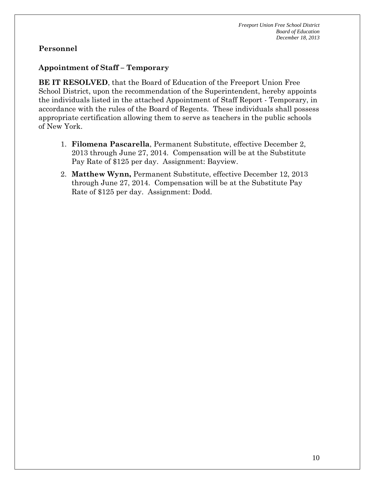# **Appointment of Staff – Temporary**

**BE IT RESOLVED**, that the Board of Education of the Freeport Union Free School District, upon the recommendation of the Superintendent, hereby appoints the individuals listed in the attached Appointment of Staff Report - Temporary, in accordance with the rules of the Board of Regents. These individuals shall possess appropriate certification allowing them to serve as teachers in the public schools of New York.

- 1. **Filomena Pascarella**, Permanent Substitute, effective December 2, 2013 through June 27, 2014. Compensation will be at the Substitute Pay Rate of \$125 per day. Assignment: Bayview.
- 2. **Matthew Wynn,** Permanent Substitute, effective December 12, 2013 through June 27, 2014. Compensation will be at the Substitute Pay Rate of \$125 per day. Assignment: Dodd.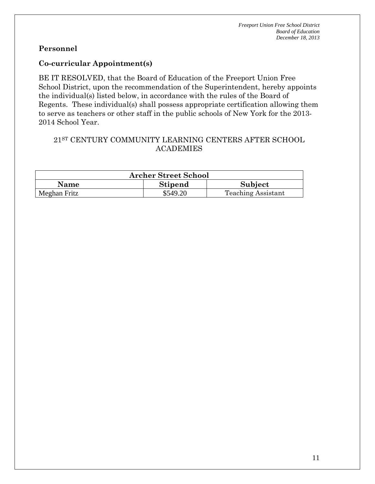### **Co-curricular Appointment(s)**

BE IT RESOLVED, that the Board of Education of the Freeport Union Free School District, upon the recommendation of the Superintendent, hereby appoints the individual(s) listed below, in accordance with the rules of the Board of Regents. These individual(s) shall possess appropriate certification allowing them to serve as teachers or other staff in the public schools of New York for the 2013- 2014 School Year.

## 21ST CENTURY COMMUNITY LEARNING CENTERS AFTER SCHOOL ACADEMIES

| <b>Archer Street School</b> |                |                           |  |  |  |  |
|-----------------------------|----------------|---------------------------|--|--|--|--|
| <b>Name</b>                 | <b>Stipend</b> | Subject                   |  |  |  |  |
| Meghan Fritz                | \$549.20       | <b>Teaching Assistant</b> |  |  |  |  |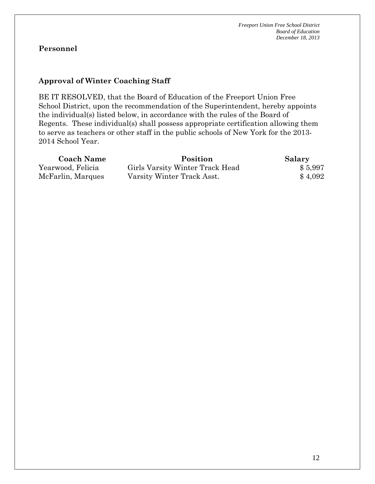# **Approval of Winter Coaching Staff**

BE IT RESOLVED, that the Board of Education of the Freeport Union Free School District, upon the recommendation of the Superintendent, hereby appoints the individual(s) listed below, in accordance with the rules of the Board of Regents. These individual(s) shall possess appropriate certification allowing them to serve as teachers or other staff in the public schools of New York for the 2013- 2014 School Year.

| <b>Coach Name</b> | Position                        | Salary  |
|-------------------|---------------------------------|---------|
| Yearwood, Felicia | Girls Varsity Winter Track Head | \$5,997 |
| McFarlin, Marques | Varsity Winter Track Asst.      | \$4,092 |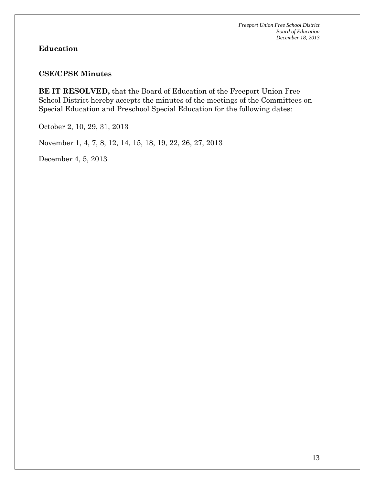# **Education**

### **CSE/CPSE Minutes**

**BE IT RESOLVED,** that the Board of Education of the Freeport Union Free School District hereby accepts the minutes of the meetings of the Committees on Special Education and Preschool Special Education for the following dates:

October 2, 10, 29, 31, 2013

November 1, 4, 7, 8, 12, 14, 15, 18, 19, 22, 26, 27, 2013

December 4, 5, 2013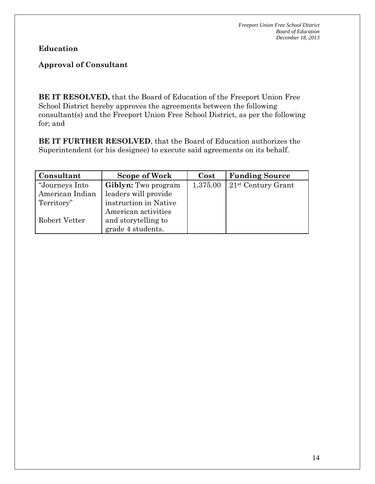**Education**

# **Approval of Consultant**

**BE IT RESOLVED,** that the Board of Education of the Freeport Union Free School District hereby approves the agreements between the following consultant(s) and the Freeport Union Free School District, as per the following for; and

**BE IT FURTHER RESOLVED**, that the Board of Education authorizes the Superintendent (or his designee) to execute said agreements on its behalf.

| Consultant      | Scope of Work              | Cost     | <b>Funding Source</b> |
|-----------------|----------------------------|----------|-----------------------|
| "Journeys Into  | <b>Giblyn:</b> Two program | 1,375.00 | $21st$ Century Grant  |
| American Indian | leaders will provide       |          |                       |
| Territory"      | instruction in Native      |          |                       |
|                 | American activities        |          |                       |
| Robert Vetter   | and storytelling to        |          |                       |
|                 | grade 4 students.          |          |                       |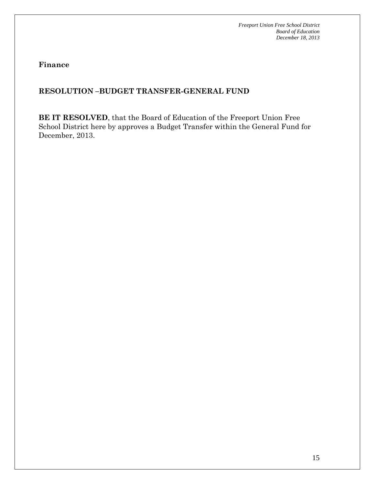**Finance**

# **RESOLUTION –BUDGET TRANSFER-GENERAL FUND**

**BE IT RESOLVED**, that the Board of Education of the Freeport Union Free School District here by approves a Budget Transfer within the General Fund for December, 2013.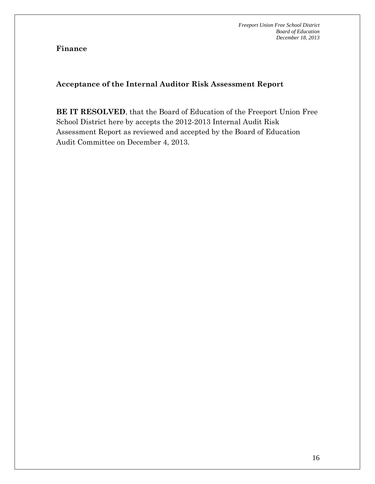## **Finance**

# **Acceptance of the Internal Auditor Risk Assessment Report**

**BE IT RESOLVED**, that the Board of Education of the Freeport Union Free School District here by accepts the 2012-2013 Internal Audit Risk Assessment Report as reviewed and accepted by the Board of Education Audit Committee on December 4, 2013.